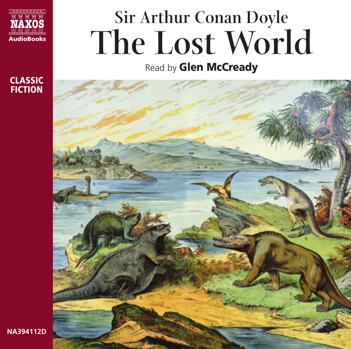

CLASSIC **FICTION** 

# **Sir Arthur Conan Doyle The Lost World**

Read by **Glen McCready** 



**NA394112D**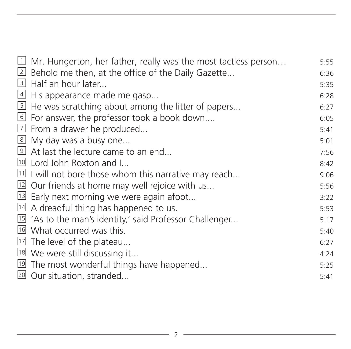| $\Box$ Mr. Hungerton, her father, really was the most tactless person | 5:55 |
|-----------------------------------------------------------------------|------|
| 2 Behold me then, at the office of the Daily Gazette                  | 6:36 |
| 3 Half an hour later                                                  | 5:35 |
| $4$ His appearance made me gasp                                       | 6:28 |
| 5 He was scratching about among the litter of papers                  | 6:27 |
| 6 For answer, the professor took a book down                          | 6:05 |
| $\boxed{7}$ From a drawer he produced                                 | 5:41 |
| 8 My day was a busy one                                               | 5:01 |
| 9 At last the lecture came to an end                                  | 7:56 |
| <sup>10</sup> Lord John Roxton and I                                  | 8:42 |
| $\boxed{11}$ I will not bore those whom this narrative may reach      | 9:06 |
| <sup>12</sup> Our friends at home may well rejoice with us            | 5:56 |
| <sup>13</sup> Early next morning we were again afoot                  | 3:22 |
| $14$ A dreadful thing has happened to us.                             | 5:53 |
| <sup>15</sup> 'As to the man's identity,' said Professor Challenger   | 5:17 |
| 16 What occurred was this.                                            | 5:40 |
| <sup>17</sup> The level of the plateau                                | 6:27 |
| 18 We were still discussing it                                        | 4:24 |
| <sup>19</sup> The most wonderful things have happened                 | 5:25 |
| 20 Our situation, stranded                                            | 5:41 |
|                                                                       |      |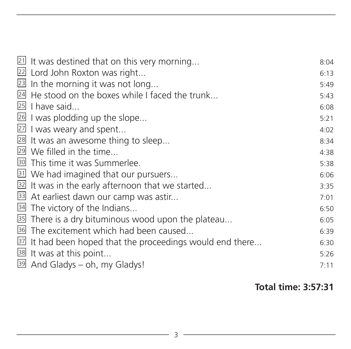| $21$ It was destined that on this very morning                      | 8:04 |
|---------------------------------------------------------------------|------|
| 22 Lord John Roxton was right                                       | 6:13 |
| $23$ In the morning it was not long                                 | 5:49 |
| 24 He stood on the boxes while I faced the trunk                    | 5:43 |
| $25$ I have said                                                    | 6:08 |
| 26 I was plodding up the slope                                      | 5:21 |
| 27 I was weary and spent                                            | 4:02 |
| 28 It was an awesome thing to sleep                                 | 8:34 |
| 29 We filled in the time                                            | 4:38 |
| <sup>30</sup> This time it was Summerlee.                           | 5:38 |
| 31 We had imagined that our pursuers                                | 6:06 |
| 32 It was in the early afternoon that we started                    | 3:35 |
| 33 At earliest dawn our camp was astir                              | 7:01 |
| 34 The victory of the Indians                                       | 6:50 |
| <sup>35</sup> There is a dry bituminous wood upon the plateau       | 6:05 |
| <sup>36</sup> The excitement which had been caused                  | 6:39 |
| $\boxed{32}$ It had been hoped that the proceedings would end there | 6:30 |
| 38 It was at this point                                             | 5:26 |
| 39 And Gladys - oh, my Gladys!                                      | 7:11 |
|                                                                     |      |

#### **Total time: 3:57:31**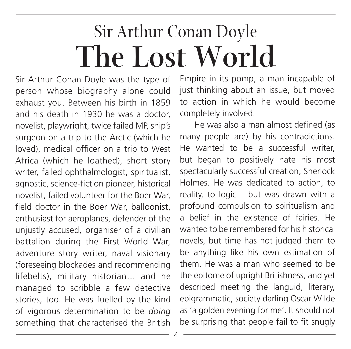# Sir Arthur Conan Doyle **The Lost World**

Sir Arthur Conan Doyle was the type of person whose biography alone could exhaust you. Between his birth in 1859 and his death in 1930 he was a doctor, novelist, playwright, twice failed MP, ship's surgeon on a trip to the Arctic (which he loved), medical officer on a trip to West Africa (which he loathed), short story writer, failed ophthalmologist, spiritualist, agnostic, science-fiction pioneer, historical novelist, failed volunteer for the Boer War, field doctor in the Boer War, balloonist, enthusiast for aeroplanes, defender of the unjustly accused, organiser of a civilian battalion during the First World War, adventure story writer, naval visionary (foreseeing blockades and recommending lifebelts), military historian… and he managed to scribble a few detective stories, too. He was fuelled by the kind of vigorous determination to be *doing* something that characterised the British Empire in its pomp, a man incapable of just thinking about an issue, but moved to action in which he would become completely involved.

He was also a man almost defined (as many people are) by his contradictions. He wanted to be a successful writer, but began to positively hate his most spectacularly successful creation, Sherlock Holmes. He was dedicated to action, to reality, to logic – but was drawn with a profound compulsion to spiritualism and a belief in the existence of fairies. He wanted to be remembered for his historical novels, but time has not judged them to be anything like his own estimation of them. He was a man who seemed to be the epitome of upright Britishness, and yet described meeting the languid, literary, epigrammatic, society darling Oscar Wilde as 'a golden evening for me'. It should not be surprising that people fail to fit snugly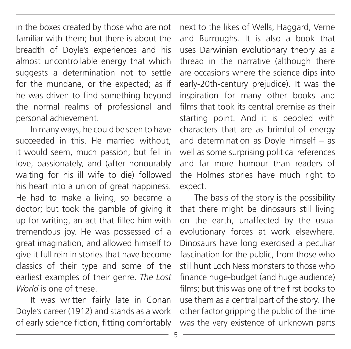in the boxes created by those who are not familiar with them; but there is about the breadth of Doyle's experiences and his almost uncontrollable energy that which suggests a determination not to settle for the mundane, or the expected; as if he was driven to find something beyond the normal realms of professional and personal achievement.

In many ways, he could be seen to have succeeded in this. He married without it would seem, much passion; but fell in love, passionately, and (after honourably waiting for his ill wife to die) followed his heart into a union of great happiness. He had to make a living, so became a doctor; but took the gamble of giving it up for writing, an act that filled him with tremendous joy. He was possessed of a great imagination, and allowed himself to give it full rein in stories that have become classics of their type and some of the earliest examples of their genre. *The Lost World* is one of these.

It was written fairly late in Conan Doyle's career (1912) and stands as a work of early science fiction, fitting comfortably next to the likes of Wells, Haggard, Verne and Burroughs. It is also a book that uses Darwinian evolutionary theory as a thread in the narrative (although there are occasions where the science dips into early-20th-century prejudice). It was the inspiration for many other books and films that took its central premise as their starting point. And it is peopled with characters that are as brimful of energy and determination as Doyle himself – as well as some surprising political references and far more humour than readers of the Holmes stories have much right to expect.

The basis of the story is the possibility that there might be dinosaurs still living on the earth, unaffected by the usual evolutionary forces at work elsewhere. Dinosaurs have long exercised a peculiar fascination for the public, from those who still hunt Loch Ness monsters to those who finance huge-budget (and huge audience) films; but this was one of the first books to use them as a central part of the story. The other factor gripping the public of the time was the very existence of unknown parts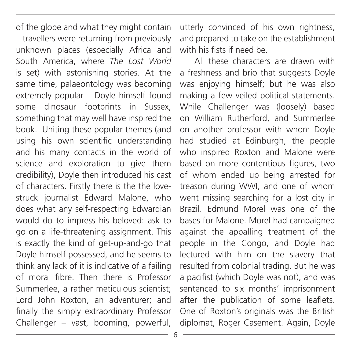of the globe and what they might contain – travellers were returning from previously unknown places (especially Africa and South America, where *The Lost World* is set) with astonishing stories. At the same time, palaeontology was becoming extremely popular – Doyle himself found some dinosaur footprints in Sussex, something that may well have inspired the book. Uniting these popular themes (and using his own scientific understanding and his many contacts in the world of science and exploration to give them credibility), Doyle then introduced his cast of characters. Firstly there is the the lovestruck journalist Edward Malone, who does what any self-respecting Edwardian would do to impress his beloved: ask to go on a life-threatening assignment. This is exactly the kind of get-up-and-go that Doyle himself possessed, and he seems to think any lack of it is indicative of a failing of moral fibre. Then there is Professor Summerlee, a rather meticulous scientist; Lord John Roxton, an adventurer; and finally the simply extraordinary Professor Challenger – vast, booming, powerful,

utterly convinced of his own rightness, and prepared to take on the establishment with his fists if need be.

All these characters are drawn with a freshness and brio that suggests Doyle was enjoying himself; but he was also making a few veiled political statements. While Challenger was (loosely) based on William Rutherford, and Summerlee on another professor with whom Doyle had studied at Edinburgh, the people who inspired Roxton and Malone were based on more contentious figures, two of whom ended up being arrested for treason during WWI, and one of whom went missing searching for a lost city in Brazil. Edmund Morel was one of the bases for Malone. Morel had campaigned against the appalling treatment of the people in the Congo, and Doyle had lectured with him on the slavery that resulted from colonial trading. But he was a pacifist (which Doyle was not), and was sentenced to six months' imprisonment after the publication of some leaflets. One of Roxton's originals was the British diplomat, Roger Casement. Again, Doyle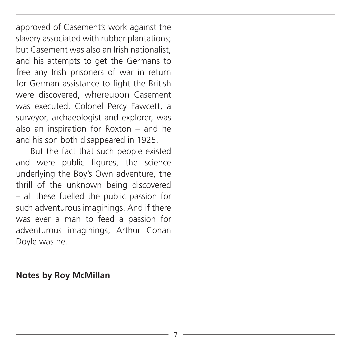approved of Casement's work against the slavery associated with rubber plantations; but Casement was also an Irish nationalist, and his attempts to get the Germans to free any Irish prisoners of war in return for German assistance to fight the British were discovered, whereupon Casement was executed. Colonel Percy Fawcett, a surveyor, archaeologist and explorer, was also an inspiration for Roxton – and he and his son both disappeared in 1925.

But the fact that such people existed and were public figures, the science underlying the Boy's Own adventure, the thrill of the unknown being discovered – all these fuelled the public passion for such adventurous imaginings. And if there was ever a man to feed a passion for adventurous imaginings, Arthur Conan Doyle was he.

#### **Notes by Roy McMillan**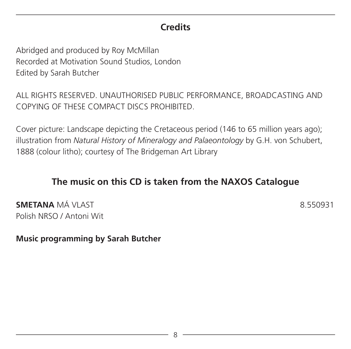#### **Credits**

Abridged and produced by Roy McMillan Recorded at Motivation Sound Studios, London Edited by Sarah Butcher

ALL RIGHTS RESERVED. UNAUTHORISED PUBLIC PERFORMANCE, BROADCASTING AND COPYING OF THESE COMPACT DISCS PROHIBITED.

Cover picture: Landscape depicting the Cretaceous period (146 to 65 million years ago); illustration from *Natural History of Mineralogy and Palaeontology* by G.H. von Schubert, 1888 (colour litho); courtesy of The Bridgeman Art Library

#### **The music on this CD is taken from the NAXOS Catalogue**

**SMETANA** MÁ VLAST **8.550931** Polish NRSO / Antoni Wit

**Music programming by Sarah Butcher**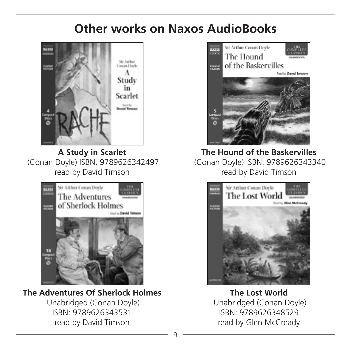### **Other works on Naxos AudioBooks**



**A Study in Scarlet** (Conan Doyle) ISBN: 9789626342497 read by David Timson



**The Adventures Of Sherlock Holmes** Unabridged (Conan Doyle) ISBN: 9789626343531 read by David Timson



**The Hound of the Baskervilles** (Conan Doyle) ISBN: 9789626343340 read by David Timson



**The Lost World** Unabridged (Conan Doyle) ISBN: 9789626348529 read by Glen McCready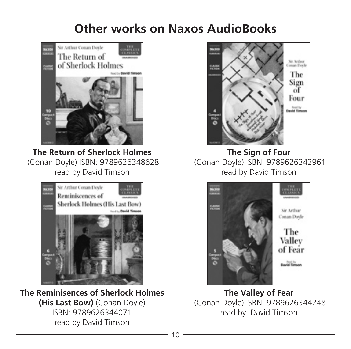### **Other works on Naxos AudioBooks**



**The Return of Sherlock Holmes** (Conan Doyle) ISBN: 9789626348628 read by David Timson



**The Reminisences of Sherlock Holmes (His Last Bow)** (Conan Doyle) ISBN: 9789626344071 read by David Timson



**The Sign of Four** (Conan Doyle) ISBN: 9789626342961 read by David Timson



**The Valley of Fear** (Conan Doyle) ISBN: 9789626344248 read by David Timson